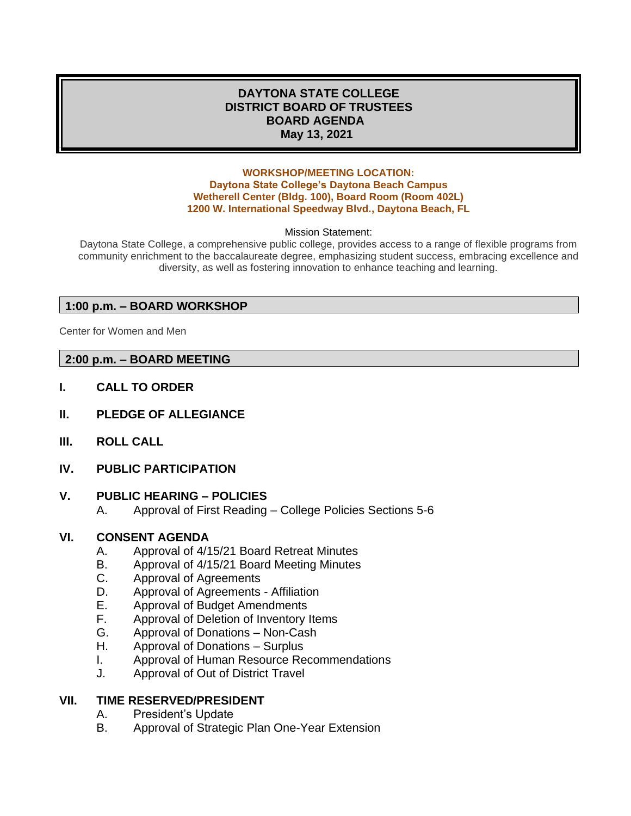## **DAYTONA STATE COLLEGE DISTRICT BOARD OF TRUSTEES BOARD AGENDA May 13, 2021**

#### **WORKSHOP/MEETING LOCATION: Daytona State College's Daytona Beach Campus Wetherell Center (Bldg. 100), Board Room (Room 402L) 1200 W. International Speedway Blvd., Daytona Beach, FL**

#### Mission Statement:

Daytona State College, a comprehensive public college, provides access to a range of flexible programs from community enrichment to the baccalaureate degree, emphasizing student success, embracing excellence and diversity, as well as fostering innovation to enhance teaching and learning.

## **1:00 p.m. – BOARD WORKSHOP**

Center for Women and Men

## **2:00 p.m. – BOARD MEETING**

- **I. CALL TO ORDER**
- **II. PLEDGE OF ALLEGIANCE**
- **III. ROLL CALL**
- **IV. PUBLIC PARTICIPATION**

## **V. PUBLIC HEARING – POLICIES**

A. Approval of First Reading – College Policies Sections 5-6

## **VI. CONSENT AGENDA**

- A. Approval of 4/15/21 Board Retreat Minutes
- B. Approval of 4/15/21 Board Meeting Minutes
- C. Approval of Agreements
- D. Approval of Agreements Affiliation
- E. Approval of Budget Amendments
- F. Approval of Deletion of Inventory Items
- G. Approval of Donations Non-Cash
- H. Approval of Donations Surplus
- I. Approval of Human Resource Recommendations
- J. Approval of Out of District Travel

## **VII. TIME RESERVED/PRESIDENT**

- A. President's Update
- B. Approval of Strategic Plan One-Year Extension